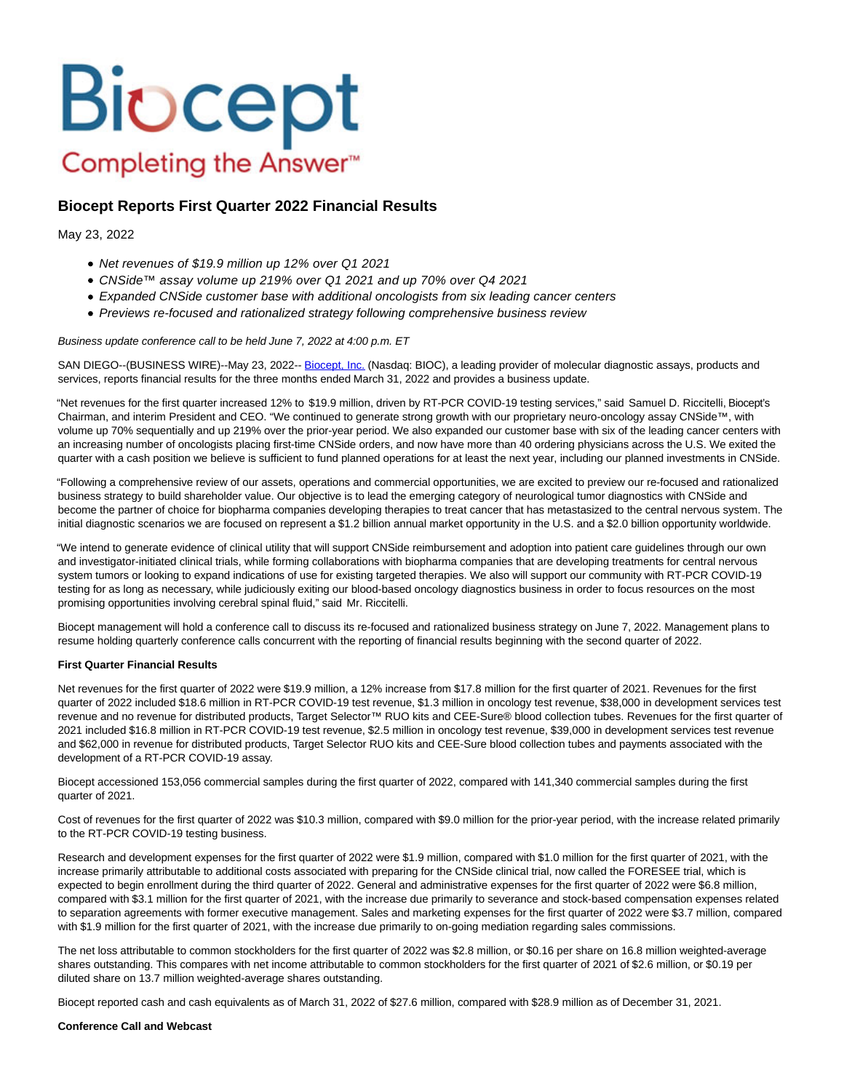# **Biocept** Completing the Answer<sup>™</sup>

# **Biocept Reports First Quarter 2022 Financial Results**

### May 23, 2022

- Net revenues of \$19.9 million up 12% over Q1 2021
- CNSide™ assay volume up 219% over Q1 2021 and up 70% over Q4 2021
- Expanded CNSide customer base with additional oncologists from six leading cancer centers
- Previews re-focused and rationalized strategy following comprehensive business review

#### Business update conference call to be held June 7, 2022 at 4:00 p.m. ET

SAN DIEGO--(BUSINESS WIRE)--May 23, 2022-- [Biocept, Inc. \(](https://cts.businesswire.com/ct/CT?id=smartlink&url=http%3A%2F%2Fwww.biocept.com%2F&esheet=52728528&newsitemid=20220523005934&lan=en-US&anchor=Biocept%2C+Inc.&index=1&md5=a1c0d0e92ba54fffaf1b1437ff0df366)Nasdaq: BIOC), a leading provider of molecular diagnostic assays, products and services, reports financial results for the three months ended March 31, 2022 and provides a business update.

"Net revenues for the first quarter increased 12% to \$19.9 million, driven by RT-PCR COVID-19 testing services," said Samuel D. Riccitelli, Biocept's Chairman, and interim President and CEO. "We continued to generate strong growth with our proprietary neuro-oncology assay CNSide™, with volume up 70% sequentially and up 219% over the prior-year period. We also expanded our customer base with six of the leading cancer centers with an increasing number of oncologists placing first-time CNSide orders, and now have more than 40 ordering physicians across the U.S. We exited the quarter with a cash position we believe is sufficient to fund planned operations for at least the next year, including our planned investments in CNSide.

"Following a comprehensive review of our assets, operations and commercial opportunities, we are excited to preview our re-focused and rationalized business strategy to build shareholder value. Our objective is to lead the emerging category of neurological tumor diagnostics with CNSide and become the partner of choice for biopharma companies developing therapies to treat cancer that has metastasized to the central nervous system. The initial diagnostic scenarios we are focused on represent a \$1.2 billion annual market opportunity in the U.S. and a \$2.0 billion opportunity worldwide.

"We intend to generate evidence of clinical utility that will support CNSide reimbursement and adoption into patient care guidelines through our own and investigator-initiated clinical trials, while forming collaborations with biopharma companies that are developing treatments for central nervous system tumors or looking to expand indications of use for existing targeted therapies. We also will support our community with RT-PCR COVID-19 testing for as long as necessary, while judiciously exiting our blood-based oncology diagnostics business in order to focus resources on the most promising opportunities involving cerebral spinal fluid," said Mr. Riccitelli.

Biocept management will hold a conference call to discuss its re-focused and rationalized business strategy on June 7, 2022. Management plans to resume holding quarterly conference calls concurrent with the reporting of financial results beginning with the second quarter of 2022.

#### **First Quarter Financial Results**

Net revenues for the first quarter of 2022 were \$19.9 million, a 12% increase from \$17.8 million for the first quarter of 2021. Revenues for the first quarter of 2022 included \$18.6 million in RT-PCR COVID-19 test revenue, \$1.3 million in oncology test revenue, \$38,000 in development services test revenue and no revenue for distributed products, Target Selector™ RUO kits and CEE-Sure® blood collection tubes. Revenues for the first quarter of 2021 included \$16.8 million in RT-PCR COVID-19 test revenue, \$2.5 million in oncology test revenue, \$39,000 in development services test revenue and \$62,000 in revenue for distributed products, Target Selector RUO kits and CEE-Sure blood collection tubes and payments associated with the development of a RT-PCR COVID-19 assay.

Biocept accessioned 153,056 commercial samples during the first quarter of 2022, compared with 141,340 commercial samples during the first quarter of 2021.

Cost of revenues for the first quarter of 2022 was \$10.3 million, compared with \$9.0 million for the prior-year period, with the increase related primarily to the RT-PCR COVID-19 testing business.

Research and development expenses for the first quarter of 2022 were \$1.9 million, compared with \$1.0 million for the first quarter of 2021, with the increase primarily attributable to additional costs associated with preparing for the CNSide clinical trial, now called the FORESEE trial, which is expected to begin enrollment during the third quarter of 2022. General and administrative expenses for the first quarter of 2022 were \$6.8 million, compared with \$3.1 million for the first quarter of 2021, with the increase due primarily to severance and stock-based compensation expenses related to separation agreements with former executive management. Sales and marketing expenses for the first quarter of 2022 were \$3.7 million, compared with \$1.9 million for the first quarter of 2021, with the increase due primarily to on-going mediation regarding sales commissions.

The net loss attributable to common stockholders for the first quarter of 2022 was \$2.8 million, or \$0.16 per share on 16.8 million weighted-average shares outstanding. This compares with net income attributable to common stockholders for the first quarter of 2021 of \$2.6 million, or \$0.19 per diluted share on 13.7 million weighted-average shares outstanding.

Biocept reported cash and cash equivalents as of March 31, 2022 of \$27.6 million, compared with \$28.9 million as of December 31, 2021.

#### **Conference Call and Webcast**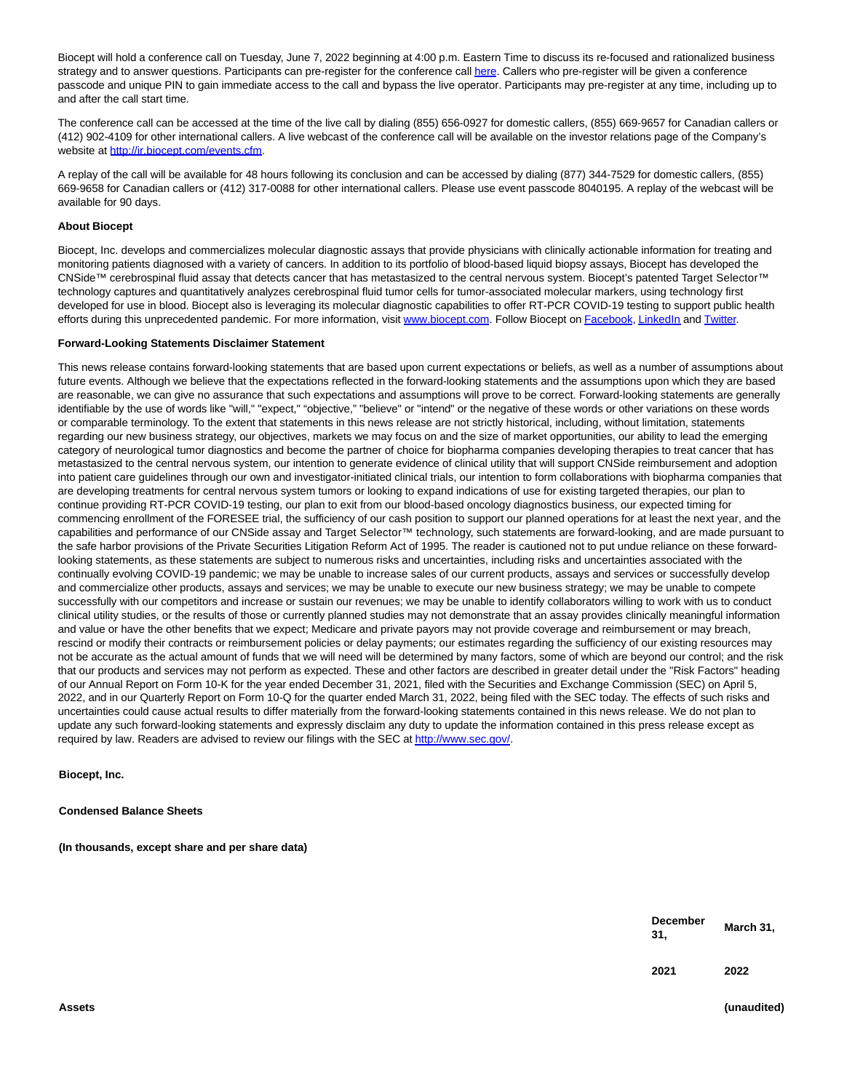Biocept will hold a conference call on Tuesday, June 7, 2022 beginning at 4:00 p.m. Eastern Time to discuss its re-focused and rationalized business strategy and to answer questions. Participants can pre-register for the conference cal[l here.](https://cts.businesswire.com/ct/CT?id=smartlink&url=https%3A%2F%2Fdpregister.com%2Fsreg%2F10166473%2Ff27cad70fa&esheet=52728528&newsitemid=20220523005934&lan=en-US&anchor=here&index=2&md5=1533364501157ab4f5cf93202fdcbf48) Callers who pre-register will be given a conference passcode and unique PIN to gain immediate access to the call and bypass the live operator. Participants may pre-register at any time, including up to and after the call start time.

The conference call can be accessed at the time of the live call by dialing (855) 656-0927 for domestic callers, (855) 669-9657 for Canadian callers or (412) 902-4109 for other international callers. A live webcast of the conference call will be available on the investor relations page of the Company's website at [http://ir.biocept.com/events.cfm.](https://cts.businesswire.com/ct/CT?id=smartlink&url=http%3A%2F%2Fir.biocept.com%2Fevents.cfm&esheet=52728528&newsitemid=20220523005934&lan=en-US&anchor=http%3A%2F%2Fir.biocept.com%2Fevents.cfm&index=3&md5=d6ab2d0ff28b07916d57b016bf820a81)

A replay of the call will be available for 48 hours following its conclusion and can be accessed by dialing (877) 344-7529 for domestic callers, (855) 669-9658 for Canadian callers or (412) 317-0088 for other international callers. Please use event passcode 8040195. A replay of the webcast will be available for 90 days.

#### **About Biocept**

Biocept, Inc. develops and commercializes molecular diagnostic assays that provide physicians with clinically actionable information for treating and monitoring patients diagnosed with a variety of cancers. In addition to its portfolio of blood-based liquid biopsy assays, Biocept has developed the CNSide™ cerebrospinal fluid assay that detects cancer that has metastasized to the central nervous system. Biocept's patented Target Selector™ technology captures and quantitatively analyzes cerebrospinal fluid tumor cells for tumor-associated molecular markers, using technology first developed for use in blood. Biocept also is leveraging its molecular diagnostic capabilities to offer RT-PCR COVID-19 testing to support public health efforts during this unprecedented pandemic. For more information, visit [www.biocept.com.](https://cts.businesswire.com/ct/CT?id=smartlink&url=http%3A%2F%2Fwww.biocept.com&esheet=52728528&newsitemid=20220523005934&lan=en-US&anchor=www.biocept.com&index=4&md5=a857f067dba85ad606d00f55f411a50e) Follow Biocept o[n Facebook,](https://cts.businesswire.com/ct/CT?id=smartlink&url=https%3A%2F%2Fwww.facebook.com%2Fbiocept%2F&esheet=52728528&newsitemid=20220523005934&lan=en-US&anchor=Facebook&index=5&md5=bb52ef0dc32f166d12534de13e328a0c) [LinkedIn a](https://cts.businesswire.com/ct/CT?id=smartlink&url=https%3A%2F%2Fwww.linkedin.com%2Fcompany%2Fbiocept%2F&esheet=52728528&newsitemid=20220523005934&lan=en-US&anchor=LinkedIn&index=6&md5=2a4b0e9bee065362e0af47d7d4b2a817)n[d Twitter.](https://cts.businesswire.com/ct/CT?id=smartlink&url=https%3A%2F%2Ftwitter.com%2FBiocept&esheet=52728528&newsitemid=20220523005934&lan=en-US&anchor=Twitter&index=7&md5=533122fa84a794082dfe05708edfc68f)

#### **Forward-Looking Statements Disclaimer Statement**

This news release contains forward-looking statements that are based upon current expectations or beliefs, as well as a number of assumptions about future events. Although we believe that the expectations reflected in the forward-looking statements and the assumptions upon which they are based are reasonable, we can give no assurance that such expectations and assumptions will prove to be correct. Forward-looking statements are generally identifiable by the use of words like "will," "expect," "objective," "believe" or "intend" or the negative of these words or other variations on these words or comparable terminology. To the extent that statements in this news release are not strictly historical, including, without limitation, statements regarding our new business strategy, our objectives, markets we may focus on and the size of market opportunities, our ability to lead the emerging category of neurological tumor diagnostics and become the partner of choice for biopharma companies developing therapies to treat cancer that has metastasized to the central nervous system, our intention to generate evidence of clinical utility that will support CNSide reimbursement and adoption into patient care guidelines through our own and investigator-initiated clinical trials, our intention to form collaborations with biopharma companies that are developing treatments for central nervous system tumors or looking to expand indications of use for existing targeted therapies, our plan to continue providing RT-PCR COVID-19 testing, our plan to exit from our blood-based oncology diagnostics business, our expected timing for commencing enrollment of the FORESEE trial, the sufficiency of our cash position to support our planned operations for at least the next year, and the capabilities and performance of our CNSide assay and Target Selector™ technology, such statements are forward-looking, and are made pursuant to the safe harbor provisions of the Private Securities Litigation Reform Act of 1995. The reader is cautioned not to put undue reliance on these forwardlooking statements, as these statements are subject to numerous risks and uncertainties, including risks and uncertainties associated with the continually evolving COVID-19 pandemic; we may be unable to increase sales of our current products, assays and services or successfully develop and commercialize other products, assays and services; we may be unable to execute our new business strategy; we may be unable to compete successfully with our competitors and increase or sustain our revenues; we may be unable to identify collaborators willing to work with us to conduct clinical utility studies, or the results of those or currently planned studies may not demonstrate that an assay provides clinically meaningful information and value or have the other benefits that we expect; Medicare and private payors may not provide coverage and reimbursement or may breach, rescind or modify their contracts or reimbursement policies or delay payments; our estimates regarding the sufficiency of our existing resources may not be accurate as the actual amount of funds that we will need will be determined by many factors, some of which are beyond our control; and the risk that our products and services may not perform as expected. These and other factors are described in greater detail under the "Risk Factors" heading of our Annual Report on Form 10-K for the year ended December 31, 2021, filed with the Securities and Exchange Commission (SEC) on April 5, 2022, and in our Quarterly Report on Form 10-Q for the quarter ended March 31, 2022, being filed with the SEC today. The effects of such risks and uncertainties could cause actual results to differ materially from the forward-looking statements contained in this news release. We do not plan to update any such forward-looking statements and expressly disclaim any duty to update the information contained in this press release except as required by law. Readers are advised to review our filings with the SEC a[t http://www.sec.gov/.](https://cts.businesswire.com/ct/CT?id=smartlink&url=http%3A%2F%2Fwww.sec.gov%2F&esheet=52728528&newsitemid=20220523005934&lan=en-US&anchor=http%3A%2F%2Fwww.sec.gov%2F&index=8&md5=8ba300fdc0fcd1dac94ac0b3e9e27d34)

**Biocept, Inc.**

**Condensed Balance Sheets**

**(In thousands, except share and per share data)**

| <b>December</b><br>31, | March 31, |
|------------------------|-----------|
| 2021                   | 2022      |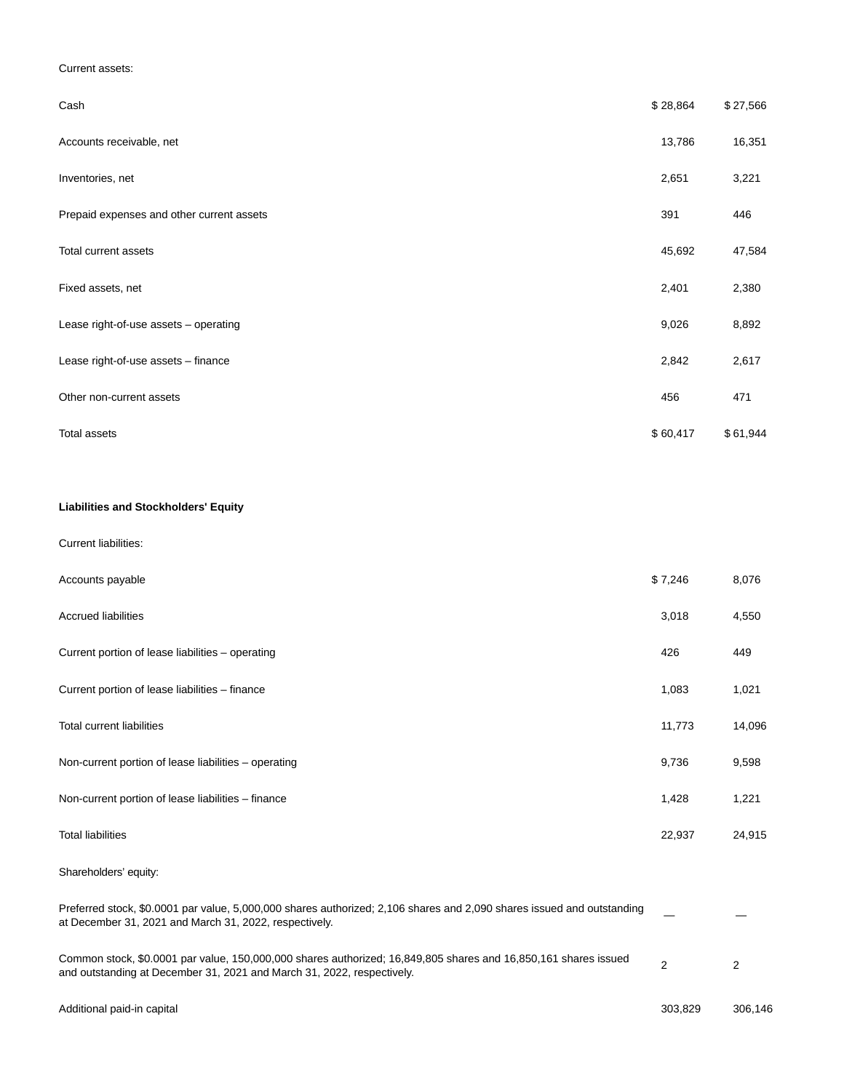### Current assets:

| Cash                                      | \$28,864 | \$27,566 |
|-------------------------------------------|----------|----------|
| Accounts receivable, net                  | 13,786   | 16,351   |
| Inventories, net                          | 2,651    | 3,221    |
| Prepaid expenses and other current assets | 391      | 446      |
| Total current assets                      | 45,692   | 47,584   |
| Fixed assets, net                         | 2,401    | 2,380    |
| Lease right-of-use assets - operating     | 9,026    | 8,892    |
| Lease right-of-use assets - finance       | 2,842    | 2,617    |
| Other non-current assets                  | 456      | 471      |
| <b>Total assets</b>                       | \$60,417 | \$61,944 |

# **Liabilities and Stockholders' Equity**

#### Current liabilities:

| Accounts payable                                                                                                                                                                          | \$7,246 | 8,076          |
|-------------------------------------------------------------------------------------------------------------------------------------------------------------------------------------------|---------|----------------|
| <b>Accrued liabilities</b>                                                                                                                                                                | 3,018   | 4,550          |
| Current portion of lease liabilities - operating                                                                                                                                          | 426     | 449            |
| Current portion of lease liabilities - finance                                                                                                                                            | 1,083   | 1,021          |
| <b>Total current liabilities</b>                                                                                                                                                          | 11,773  | 14,096         |
| Non-current portion of lease liabilities - operating                                                                                                                                      | 9,736   | 9,598          |
| Non-current portion of lease liabilities - finance                                                                                                                                        | 1,428   | 1,221          |
| <b>Total liabilities</b>                                                                                                                                                                  | 22,937  | 24,915         |
| Shareholders' equity:                                                                                                                                                                     |         |                |
| Preferred stock, \$0.0001 par value, 5,000,000 shares authorized; 2,106 shares and 2,090 shares issued and outstanding<br>at December 31, 2021 and March 31, 2022, respectively.          |         |                |
| Common stock, \$0.0001 par value, 150,000,000 shares authorized; 16,849,805 shares and 16,850,161 shares issued<br>and outstanding at December 31, 2021 and March 31, 2022, respectively. | 2       | $\overline{2}$ |
| Additional paid-in capital                                                                                                                                                                | 303,829 | 306,146        |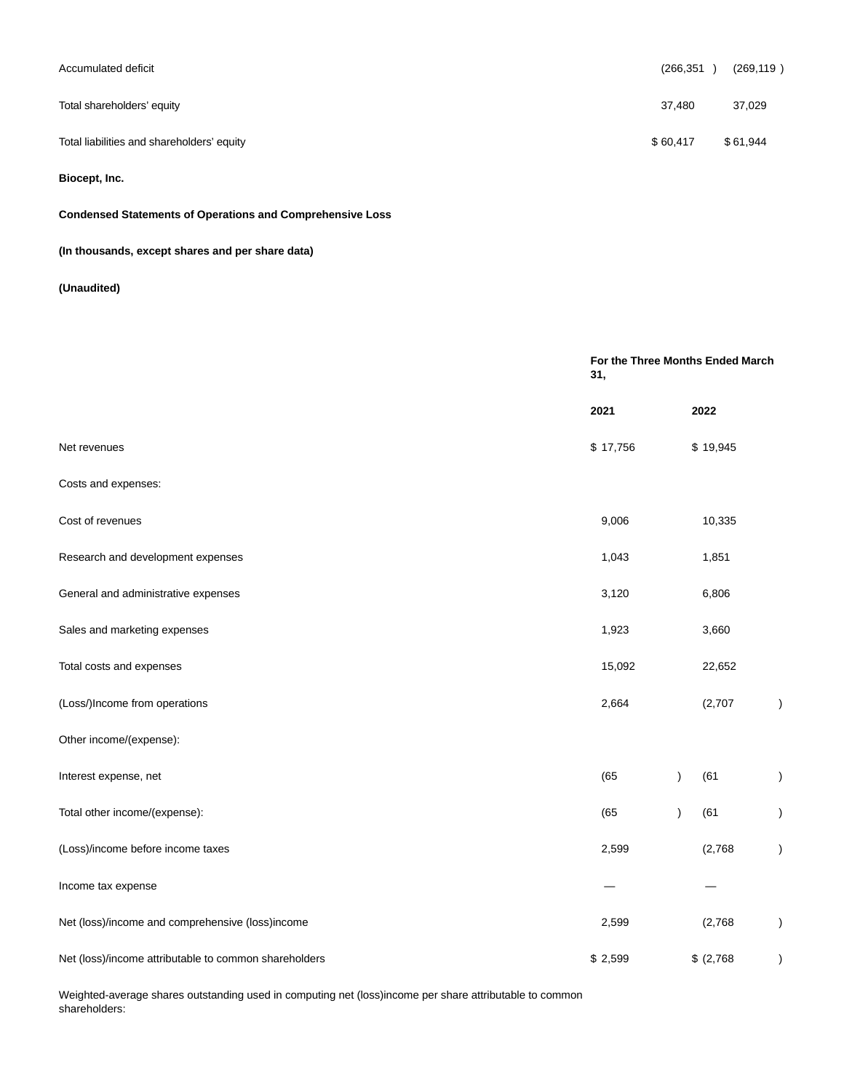| Accumulated deficit                        | (266,351) | (269, 119) |
|--------------------------------------------|-----------|------------|
| Total shareholders' equity                 | 37,480    | 37,029     |
| Total liabilities and shareholders' equity | \$60,417  | \$61,944   |

# **Biocept, Inc.**

# **Condensed Statements of Operations and Comprehensive Loss**

# **(In thousands, except shares and per share data)**

# **(Unaudited)**

|                                                       | For the Three Months Ended March<br>31, |                   |               |
|-------------------------------------------------------|-----------------------------------------|-------------------|---------------|
|                                                       | 2021                                    | 2022              |               |
| Net revenues                                          | \$17,756                                | \$19,945          |               |
| Costs and expenses:                                   |                                         |                   |               |
| Cost of revenues                                      | 9,006                                   | 10,335            |               |
| Research and development expenses                     | 1,043                                   | 1,851             |               |
| General and administrative expenses                   | 3,120                                   | 6,806             |               |
| Sales and marketing expenses                          | 1,923                                   | 3,660             |               |
| Total costs and expenses                              | 15,092                                  | 22,652            |               |
| (Loss/)Income from operations                         | 2,664                                   | (2,707)           | $\lambda$     |
| Other income/(expense):                               |                                         |                   |               |
| Interest expense, net                                 | (65)                                    | (61)<br>I         | $\mathcal{E}$ |
| Total other income/(expense):                         | (65)                                    | (61)<br>$\lambda$ | $\lambda$     |
| (Loss)/income before income taxes                     | 2,599                                   | (2,768)           | $\lambda$     |
| Income tax expense                                    |                                         |                   |               |
| Net (loss)/income and comprehensive (loss)income      | 2,599                                   | (2,768)           | $\lambda$     |
| Net (loss)/income attributable to common shareholders | \$2,599                                 | \$ (2,768)        | $\mathcal{E}$ |

Weighted-average shares outstanding used in computing net (loss)income per share attributable to common shareholders: